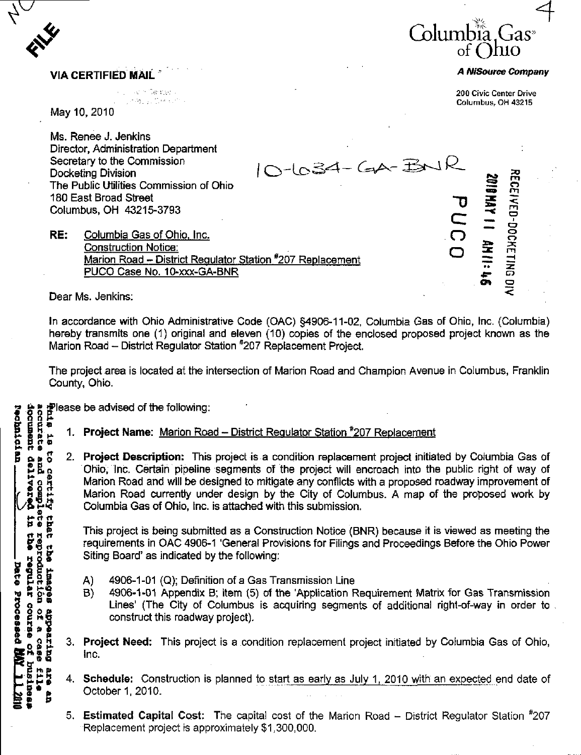

enter et al. 1990 et al. 1990 et al. 1990 et al. 200 Civic Center Drive Columbus, OH 43215

o

≆ A

## VIA CERTIFIED MAIL A NISOURCE COMPANY

May 10, 2010

Ms. Renee J. Jenkins Director, Administration Department Secretary to the Commission  $\overline{A}$  and  $\overline{A}$  and  $\overline{A}$   $\overline{A}$   $\overline{A}$   $\overline{A}$   $\overline{A}$   $\overline{A}$ Docketing Division  $10^{-0.9}$   $10^{-0.9}$ 180 East Broad Street<br>Columbus, OH 43215-3793 Columbus, OH 43215-3793  $\subseteq$   $\equiv$   $\cup$ 

The Public Utilities Commission of Ohio<br>
180 East Broad Street<br>
Columbus, OH 43215-3793<br> **RE:** Columbia Gas of Ohio, Inc.<br>
Construction Notice:<br>
<u>Marion Road – District Regulator Station #207 Replacement</u> RE: Columbia Gas of Ohio, Inc. Construction Notice: Marion Road - District Regulator Station #207 Replacement PUCO Case No. 10-xxx-GA-BNR

Dear Ms. Jenkins:

to certify that the<br>e and complete repro<br>it delivered in the r

reproductión of a .<br>the regular course

**Sebeur** 

**Cutz**pedde **GBBS** 

aza<br>D £11e

Ê

Date Processed

In accordance with Ohio Administrative Code (OAC) §4906-11-02, Columbia Gas of Ohio, Inc. (Columbia) hereby transmits one (1) original and eleven (10) copies of the enclosed proposed project known as the Marion Road - District Regulator Station #207 Replacement Project.

The project area is located at the intersection of Marion Road and Champion Avenue in Columbus, Franklin County, Ohio.

 $\frac{1}{8}$  o 8  $\frac{1}{8}$  lease be advised of the following:<br>  $\frac{1}{8}$  and  $\frac{1}{8}$  and  $\frac{1}{8}$  1. Project Name: <u>Marion Road</u><br> **B** a  $\frac{1}{8}$  a  $\frac{1}{8}$  2. Project Description: This accurate<br>document

- 1. Project Name: Marion Road District Regulator Station <sup>#</sup>207 Replacement
	- 2. Project Description: This project is a condition replacement project initiated by Columbia Gas of Ohio, Inc. Certain pipeline segments of the project will encroach into the public right of way of Marion Road and will be designed to mitigate any conflicts with a proposed roadway improvement of Marion Road currently under design by the City of Columbus. A map of the proposed work by Columbia Gas of Ohio, Inc. is attached with this submission.

This project is being submitted as a Construction Notice (BNR) because it is viewed as meeting the requirements in OAC 4906-1 'General Provisions for Filings and Proceedings Before the Ohio Power Siting Board' as indicated by the following;

- A) 4906-1-01 (Q); Definition of a Gas Transmission Line
- B) 4906-1-01 Appendix B; item (5) of the 'Application Requirement Matrix for Gas Transmission Lines' (The City of Columbus is acquiring segments of additional right-of-way in order to construct this roadway project).
- 3. **Project Need:** This project is a condition replacement project initiated by Columbia Gas of Ohio, Inc.
- 4. Schedule: Construction is planned to start as early as July 1, 2010 with an expected end date of October 1,2010.
- 5. Estimated Capital Cost: The capital cost of the Marion Road District Regulator Station  $*207$ Replacement project is approximately \$1,300,000.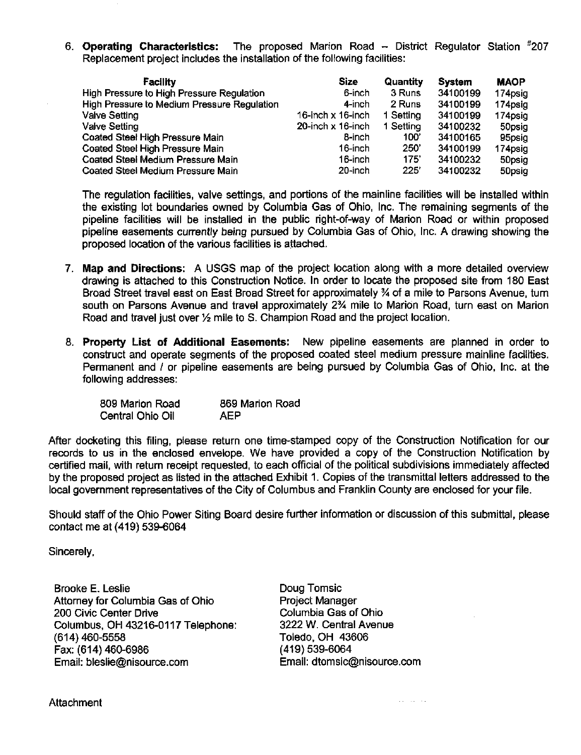6. Operating Characteristics: The proposed Marion Road – District Regulator Station #207 Replacement project includes the installation of the following facilities:

| Facility                                    | Size              | Quantity  | <b>System</b> | <b>MAOP</b> |
|---------------------------------------------|-------------------|-----------|---------------|-------------|
| High Pressure to High Pressure Regulation   | 6-inch            | 3 Runs    | 34100199      | 174psig     |
| High Pressure to Medium Pressure Regulation | 4-inch            | 2 Runs    | 34100199      | 174psig     |
| Valve Setting                               | 16-inch x 16-inch | 1 Setting | 34100199      | 174psig     |
| <b>Valve Setting</b>                        | 20-inch x 16-inch | 1 Setting | 34100232      | 50psig      |
| Coated Steel High Pressure Main             | 8-inch            | 100'      | 34100165      | 95psig      |
| Coated Steel High Pressure Main             | 16-inch           | 250'      | 34100199      | 174psig     |
| Coated Steel Medium Pressure Main           | 16-inch           | 175'      | 34100232      | 50psig      |
| Coated Steel Medium Pressure Main           | 20-inch           | 225'      | 34100232      | 50psig      |

The regulation facilities, valve settings, and portions of the mainline facilities will be installed within the existing lot boundaries owned by Columbia Gas of Ohio, Inc. The remaining segments of the pipeline facilities will be installed in the public right-of-way of Marion Road or within proposed pipeline easements currently being pursued by Columbia Gas of Ohio, Inc. A drawing showing the proposed location of the various facilities is attached.

- 7. Map and Directions: A USGS map of the project location along with a more detailed overview drawing is attached to this Construction Notice. In order to locate the proposed site from 180 East Broad Street travel east on East Broad Street for approximately % of a mile to Parsons Avenue, tum south on Parsons Avenue and travel approximately 2% mile to Marion Road, turn east on Marion Road and travel just over  $\frac{1}{2}$  mile to S. Champion Road and the project location.
- 8. Property List of Additional Easements: New pipeline easements are planned in order to construct and operate segments of the proposed coated steel medium pressure mainline facilities. Permanent and / or pipeline easements are being pursued by Columbia Gas of Ohio, Inc. at the following addresses:

| 809 Marion Road  | 869 Marion Road |
|------------------|-----------------|
| Central Ohio Oil | AEP             |

After docketing this filing, please return one time-stamped copy of the Construction Notification for our records to us in the enclosed envelope. We have provided a copy of the Construction Notification by certified mail, with return receipt requested, to each official of the political subdivisions immediately affected by the proposed project as listed in the attached Exhibit 1. Copies of the transmittal letters addressed to the local government representatives of the City of Columbus and Franklin County are enclosed for your file.

Should staff of the Ohio Power Siting Board desire further information or discussion of this submittal, please contact me at (419) 539-6064

Sincerely,

Brooke E. Leslie Attorney for Columbia Gas of Ohio 200 Civic Center Drive Columbus, OH 43216-0117 Telephone: (614)460-5558 Fax:(614)460-6986 Email: [bleslie@nisource.com](mailto:bleslie@nisource.com)

Doug Tomsic Project Manager Columbia Gas of Ohio 3222 W. Central Avenue Toledo, OH 43606 (419)539-6064 Email: [dtomsic@nisource.com](mailto:dtomsic@nisource.com)

and the con-

**Attachment**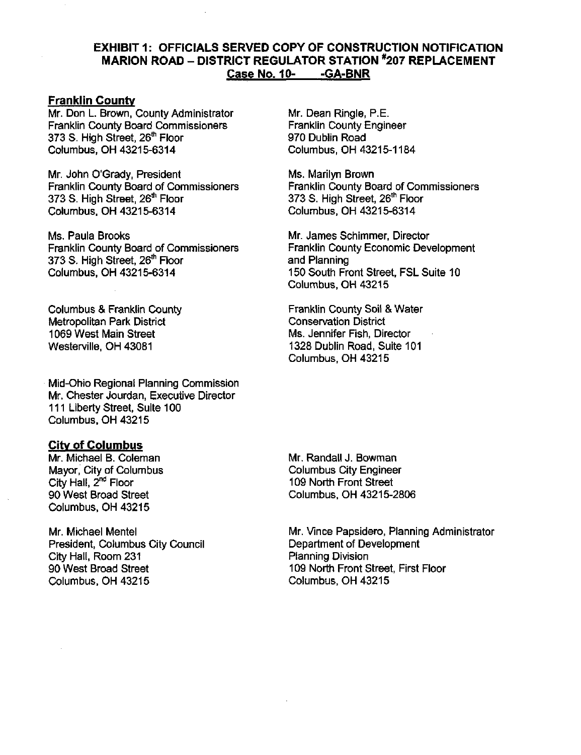## EXHIBIT 1: OFFICIALS SERVED COPY OF CONSTRUCTION NOTIFICATION MARION ROAD - DISTRICT REGULATOR STATION \*207 REPLACEMENT Case No, 10- -GA-BNR

## **Franklin County**

Mr. Don L. Brown, County Administrator Franklin County Board Commissioners 373 S. High Street, 26<sup>th</sup> Floor Columbus, OH 43215-6314

Mr. John O'Grady, President Franklin County Board of Commissioners 373 S. High Street, 26<sup>th</sup> Floor Columbus. OH 43215-6314

Ms. Paula Brooks Franklin County Board of Commissioners 373 S. High Street, 26\* Floor Columbus, OH 43215-6314

Columbus & Franklin County Metropolitan Park District 1069 West Main Street Westerville, OH 43081

Mid-Ohio Regional Planning Commission Mr. Chester Jourdan, Executive Director 111 Liberty Street, Suite 100 Columbus, OH 43215

## Citv of Columbus

Mr. Michael B. Coleman Mayor. City of Columbus City Hall, 2<sup>nd</sup> Floor 90 West Broad Street Columbus. OH 43215

Mr. Michael Mentel President, Columbus City Council City Hall, Room 231 90 West Broad Street Columbus, OH 43215

Mr. Dean Ringle, P.E. Franklin County Engineer 970 Dublin Road Columbus. OH 43215-1184

Ms. Marilyn Brown Franklin County Board of Commissioners 373 S. High Street, 26\*' Floor Columbus. OH 43215-6314

Mr. James Schimmer, Director Franklin County Economic Development and Planning 150 South Front Street, FSL Suite 10 Columbus. OH 43215

Franklin County Soil & Water Consen/ation District Ms. Jennifer Fish, Director 1328 Dublin Road, Suite 101 Columbus. OH 43215

Mr. Randall J. Bowman Columbus City Engineer 109 North Front Street Columbus, OH 43215-2806

Mr. Vince Papsidero, Planning Administrator Department of Development Planning Division 109 North Front Street, First Floor Columbus, OH 43215